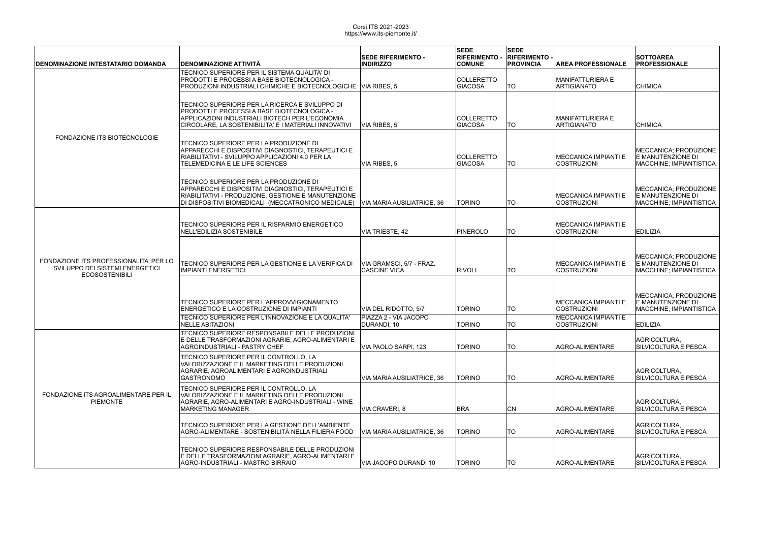| DENOMINAZIONE INTESTATARIO DOMANDA                                                                 | <b>DENOMINAZIONE ATTIVITÀ</b>                                                                                                                                                                              | <b>SEDE RIFERIMENTO -</b><br><b>INDIRIZZO</b>   | <b>SEDE</b><br><b>RIFERIMENTO -</b><br><b>COMUNE</b> | <b>SEDE</b><br><b>RIFERIMENTO -</b><br><b>PROVINCIA</b> | <b>AREA PROFESSIONALE</b>                         | <b>SOTTOAREA</b><br><b>PROFESSIONALE</b>                              |
|----------------------------------------------------------------------------------------------------|------------------------------------------------------------------------------------------------------------------------------------------------------------------------------------------------------------|-------------------------------------------------|------------------------------------------------------|---------------------------------------------------------|---------------------------------------------------|-----------------------------------------------------------------------|
| FONDAZIONE ITS BIOTECNOLOGIE                                                                       | TECNICO SUPERIORE PER IL SISTEMA QUALITA' DI<br>PRODOTTI E PROCESSI A BASE BIOTECNOLOGICA -<br><b>PRODUZIONI INDUSTRIALI CHIMICHE E BIOTECNOLOGICHE VIA RIBES, 5</b>                                       |                                                 | COLLERETTO<br>GIACOSA                                | <b>TO</b>                                               | MANIFATTURIERA E<br>ARTIGIANATO                   | <b>CHIMICA</b>                                                        |
|                                                                                                    | TECNICO SUPERIORE PER LA RICERCA E SVILUPPO DI<br>PRODOTTI E PROCESSI A BASE BIOTECNOLOGICA -<br>APPLICAZIONI INDUSTRIALI BIOTECH PER L'ECONOMIA<br>CIRCOLARE, LA SOSTENIBILITA' E I MATERIALI INNOVATIVI  | VIA RIBES, 5                                    | COLLERETTO<br><b>GIACOSA</b>                         | <b>TO</b>                                               | MANIFATTURIERA E<br>ARTIGIANATO                   | <b>CHIMICA</b>                                                        |
|                                                                                                    | TECNICO SUPERIORE PER LA PRODUZIONE DI<br>APPARECCHI E DISPOSITIVI DIAGNOSTICI, TERAPEUTICI E<br>RIABILITATIVI - SVILUPPO APPLICAZIONI 4.0 PER LA<br><b>TELEMEDICINA E LE LIFE SCIENCES</b>                | VIA RIBES, 5                                    | COLLERETTO<br>GIACOSA                                | TO                                                      | MECCANICA IMPIANTI E<br><b>COSTRUZIONI</b>        | MECCANICA; PRODUZIONE<br>E MANUTENZIONE DI<br>MACCHINE; IMPIANTISTICA |
|                                                                                                    | TECNICO SUPERIORE PER LA PRODUZIONE DI<br>APPARECCHI E DISPOSITIVI DIAGNOSTICI, TERAPEUTICI E<br>RIABILITATIVI - PRODUZIONE, GESTIONE E MANUTENZIONE<br>DI DISPOSITIVI BIOMEDICALI (MECCATRONICO MEDICALE) | VIA MARIA AUSILIATRICE, 36                      | <b>TORINO</b>                                        | TO                                                      | <b>MECCANICA IMPIANTI E</b><br><b>COSTRUZIONI</b> | MECCANICA; PRODUZIONE<br>E MANUTENZIONE DI<br>MACCHINE; IMPIANTISTICA |
| FONDAZIONE ITS PROFESSIONALITA' PER LO<br>SVILUPPO DEI SISTEMI ENERGETICI<br><b>ECOSOSTENIBILI</b> | TECNICO SUPERIORE PER IL RISPARMIO ENERGETICO<br>NELL'EDILIZIA SOSTENIBILE                                                                                                                                 | VIA TRIESTE, 42                                 | PINEROLO                                             | <b>TO</b>                                               | MECCANICA IMPIANTI E<br><b>COSTRUZIONI</b>        | <b>EDILIZIA</b>                                                       |
|                                                                                                    | <b>TECNICO SUPERIORE PER LA GESTIONE E LA VERIFICA DI</b><br><b>IMPIANTI ENERGETICI</b>                                                                                                                    | VIA GRAMSCI, 5/7 - FRAZ.<br><b>CASCINE VICA</b> | <b>RIVOLI</b>                                        | <b>TO</b>                                               | <b>MECCANICA IMPIANTI E</b><br><b>COSTRUZIONI</b> | MECCANICA; PRODUZIONE<br>E MANUTENZIONE DI<br>MACCHINE; IMPIANTISTICA |
|                                                                                                    | TECNICO SUPERIORE PER L'APPROVVIGIONAMENTO<br><b>ENERGETICO E LA COSTRUZIONE DI IMPIANTI</b>                                                                                                               | VIA DEL RIDOTTO, 5/7                            | <b>TORINO</b>                                        | TO                                                      | MECCANICA IMPIANTI E<br><b>COSTRUZIONI</b>        | MECCANICA; PRODUZIONE<br>E MANUTENZIONE DI<br>MACCHINE; IMPIANTISTICA |
|                                                                                                    | TECNICO SUPERIORE PER L'INNOVAZIONE E LA QUALITA'<br><b>NELLE ABITAZIONI</b>                                                                                                                               | PIAZZA 2 - VIA JACOPO<br>DURANDI, 10            | <b>TORINO</b>                                        | <b>TO</b>                                               | MECCANICA IMPIANTI E<br><b>COSTRUZIONI</b>        | <b>EDILIZIA</b>                                                       |
| FONDAZIONE ITS AGROALIMENTARE PER IL<br>PIEMONTE                                                   | TECNICO SUPERIORE RESPONSABILE DELLE PRODUZIONI<br>E DELLE TRASFORMAZIONI AGRARIE, AGRO-ALIMENTARI E<br>AGROINDUSTRIALI - PASTRY CHEF                                                                      | VIA PAOLO SARPI, 123                            | <b>TORINO</b>                                        | <b>TO</b>                                               | AGRO-ALIMENTARE                                   | AGRICOLTURA,<br>SILVICOLTURA E PESCA                                  |
|                                                                                                    | TECNICO SUPERIORE PER IL CONTROLLO, LA<br>VALORIZZAZIONE E IL MARKETING DELLE PRODUZIONI<br>AGRARIE, AGROALIMENTARI E AGROINDUSTRIALI<br><b>GASTRONOMO</b>                                                 | VIA MARIA AUSILIATRICE, 36                      | <b>TORINO</b>                                        | <b>TO</b>                                               | AGRO-ALIMENTARE                                   | AGRICOLTURA,<br>SILVICOLTURA E PESCA                                  |
|                                                                                                    | <b>TECNICO SUPERIORE PER IL CONTROLLO. LA</b><br>VALORIZZAZIONE E IL MARKETING DELLE PRODUZIONI<br>AGRARIE, AGRO-ALIMENTARI E AGRO-INDUSTRIALI - WINE<br>IMARKETING MANAGER                                | VIA CRAVERI, 8                                  | <b>BRA</b>                                           | <b>CN</b>                                               | AGRO-ALIMENTARE                                   | AGRICOLTURA,<br>SILVICOLTURA E PESCA                                  |
|                                                                                                    | TECNICO SUPERIORE PER LA GESTIONE DELL'AMBIENTE<br>AGRO-ALIMENTARE - SOSTENIBILITÀ NELLA FILIERA FOOD                                                                                                      | VIA MARIA AUSILIATRICE. 36                      | <b>TORINO</b>                                        | <b>TO</b>                                               | AGRO-ALIMENTARE                                   | AGRICOLTURA,<br>SILVICOLTURA E PESCA                                  |
|                                                                                                    | TECNICO SUPERIORE RESPONSABILE DELLE PRODUZIONI<br>E DELLE TRASFORMAZIONI AGRARIE, AGRO-ALIMENTARI E<br>AGRO-INDUSTRIALI - MASTRO BIRRAIO                                                                  | VIA JACOPO DURANDI 10                           | <b>TORINO</b>                                        | <b>TO</b>                                               | AGRO-ALIMENTARE                                   | AGRICOLTURA,<br>SILVICOLTURA E PESCA                                  |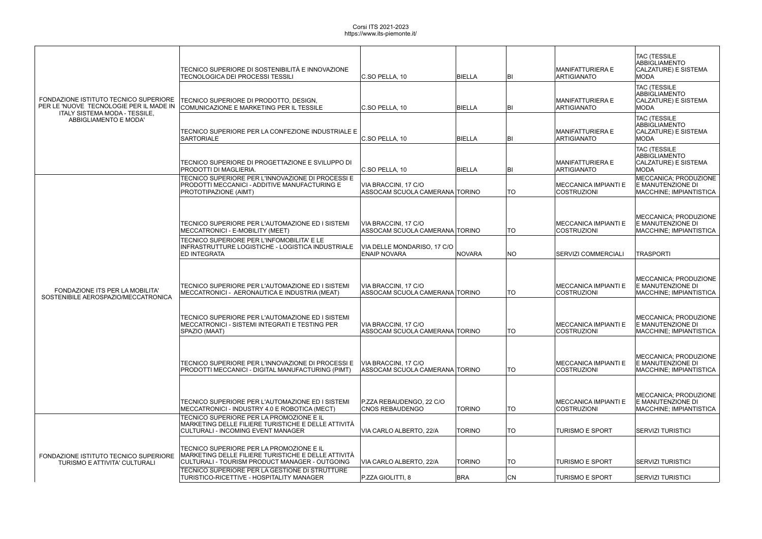| FONDAZIONE ISTITUTO TECNICO SUPERIORE<br>ITALY SISTEMA MODA - TESSILE,<br>ABBIGLIAMENTO E MODA' | TECNICO SUPERIORE DI SOSTENIBILITÀ E INNOVAZIONE<br><b>TECNOLOGICA DEI PROCESSI TESSILI</b>                                                       | C.SO PELLA, 10                                         | BIELLA        | BI        | MANIFATTURIERA E<br>ARTIGIANATO                   | <b>TAC (TESSILE</b><br><b>ABBIGLIAMENTO</b><br>CALZATURE) E SISTEMA<br><b>MODA</b>        |
|-------------------------------------------------------------------------------------------------|---------------------------------------------------------------------------------------------------------------------------------------------------|--------------------------------------------------------|---------------|-----------|---------------------------------------------------|-------------------------------------------------------------------------------------------|
|                                                                                                 | TECNICO SUPERIORE DI PRODOTTO, DESIGN,<br>PER LE 'NUOVE TECNOLOGIE PER IL MADE IN COMUNICAZIONE E MARKETING PER IL TESSILE                        | C.SO PELLA, 10                                         | BIELLA        | BI        | MANIFATTURIERA E<br>ARTIGIANATO                   | <b>TAC (TESSILE</b><br><b>ABBIGLIAMENTO</b><br>CALZATURE) E SISTEMA<br><b>MODA</b>        |
|                                                                                                 | TECNICO SUPERIORE PER LA CONFEZIONE INDUSTRIALE E<br>SARTORIALE                                                                                   | $ C_{\cdot}$ SO PELLA, 10                              | BIELLA        | BI        | MANIFATTURIERA E<br><b>ARTIGIANATO</b>            | <b>TAC (TESSILE</b><br><b>ABBIGLIAMENTO</b><br><b>CALZATURE) E SISTEMA</b><br><b>MODA</b> |
|                                                                                                 | TECNICO SUPERIORE DI PROGETTAZIONE E SVILUPPO DI<br><b>PRODOTTI DI MAGLIERIA.</b>                                                                 | C.SO PELLA, 10                                         | BIELLA        | BI        | MANIFATTURIERA E<br><b>ARTIGIANATO</b>            | <b>TAC (TESSILE</b><br><b>ABBIGLIAMENTO</b><br><b>CALZATURE) E SISTEMA</b><br><b>MODA</b> |
| FONDAZIONE ITS PER LA MOBILITA'<br>SOSTENIBILE AEROSPAZIO/MECCATRONICA                          | TECNICO SUPERIORE PER L'INNOVAZIONE DI PROCESSI E<br>PRODOTTI MECCANICI - ADDITIVE MANUFACTURING E<br>PROTOTIPAZIONE (AIMT)                       | VIA BRACCINI, 17 C/O<br>ASSOCAM SCUOLA CAMERANA TORINO |               | TO        | <b>MECCANICA IMPIANTI E</b><br><b>COSTRUZIONI</b> | MECCANICA; PRODUZIONE<br>E MANUTENZIONE DI<br>MACCHINE; IMPIANTISTICA                     |
|                                                                                                 | TECNICO SUPERIORE PER L'AUTOMAZIONE ED I SISTEMI<br>MECCATRONICI - E-MOBILITY (MEET)                                                              | VIA BRACCINI, 17 C/O<br>ASSOCAM SCUOLA CAMERANA TORINO |               | <b>TO</b> | <b>MECCANICA IMPIANTI E</b><br><b>COSTRUZIONI</b> | MECCANICA; PRODUZIONE<br>E MANUTENZIONE DI<br>MACCHINE; IMPIANTISTICA                     |
|                                                                                                 | TECNICO SUPERIORE PER L'INFOMOBILITA' E LE<br>INFRASTRUTTURE LOGISTICHE - LOGISTICA INDUSTRIALE<br><b>ED INTEGRATA</b>                            | VIA DELLE MONDARISO, 17 C/O<br><b>ENAIP NOVARA</b>     | NOVARA        | NO        | SERVIZI COMMERCIALI                               | <b>TRASPORTI</b>                                                                          |
|                                                                                                 | TECNICO SUPERIORE PER L'AUTOMAZIONE ED I SISTEMI<br>MECCATRONICI - AERONAUTICA E INDUSTRIA (MEAT)                                                 | VIA BRACCINI, 17 C/O<br>ASSOCAM SCUOLA CAMERANA TORINO |               | <b>TO</b> | MECCANICA IMPIANTI E<br><b>COSTRUZIONI</b>        | MECCANICA; PRODUZIONE<br>E MANUTENZIONE DI<br>MACCHINE; IMPIANTISTICA                     |
|                                                                                                 | TECNICO SUPERIORE PER L'AUTOMAZIONE ED I SISTEMI<br>MECCATRONICI - SISTEMI INTEGRATI E TESTING PER<br>SPAZIO (MAAI)                               | VIA BRACCINI, 17 C/O<br>ASSOCAM SCUOLA CAMERANA TORINO |               | TO.       | MECCANICA IMPIANTI E<br>COSTRUZIONI               | MECCANICA; PRODUZIONE<br>E MANUTENZIONE DI<br>MACCHINE; IMPIANTISTICA                     |
|                                                                                                 | TECNICO SUPERIORE PER L'INNOVAZIONE DI PROCESSI E<br>PRODOTTI MECCANICI - DIGITAL MANUFACTURING (PIMT)                                            | VIA BRACCINI, 17 C/O<br>ASSOCAM SCUOLA CAMERANA TORINO |               | <b>TO</b> | IMECCANICA IMPIANTI E<br><b>COSTRUZIONI</b>       | MECCANICA; PRODUZIONE<br>E MANUTENZIONE DI<br><b>MACCHINE; IMPIANTISTICA</b>              |
|                                                                                                 | TECNICO SUPERIORE PER L'AUTOMAZIONE ED I SISTEMI<br>MECCATRONICI - INDUSTRY 4.0 E ROBOTICA (MECT)                                                 | P.ZZA REBAUDENGO, 22 C/O<br><b>CNOS REBAUDENGO</b>     | <b>TORINO</b> | TO        | MECCANICA IMPIANTI E<br><b>COSTRUZIONI</b>        | MECCANICA; PRODUZIONE<br>E MANUTENZIONE DI<br>MACCHINE; IMPIANTISTICA                     |
|                                                                                                 | TECNICO SUPERIORE PER LA PROMOZIONE E IL<br>MARKETING DELLE FILIERE TURISTICHE E DELLE ATTIVITÀ<br>CULTURALI - INCOMING EVENT MANAGER             | VIA CARLO ALBERTO, 22/A                                | <b>TORINO</b> | <b>TO</b> | <b>TURISMO E SPORT</b>                            | SERVIZI TURISTICI                                                                         |
| FONDAZIONE ISTITUTO TECNICO SUPERIORE<br><b>TURISMO E ATTIVITA' CULTURALI</b>                   | TECNICO SUPERIORE PER LA PROMOZIONE E IL<br>MARKETING DELLE FILIERE TURISTICHE E DELLE ATTIVITÀ<br>CULTURALI - TOURISM PRODUCT MANAGER - OUTGOING | VIA CARLO ALBERTO, 22/A                                | <b>TORINO</b> | TO        | <b>TURISMO E SPORT</b>                            | SERVIZI TURISTICI                                                                         |
|                                                                                                 | TECNICO SUPERIORE PER LA GESTIONE DI STRUTTURE<br>TURISTICO-RICETTIVE - HOSPITALITY MANAGER                                                       | P.ZZA GIOLITTI, 8                                      | <b>BRA</b>    | <b>CN</b> | <b>TURISMO E SPORT</b>                            | <b>SERVIZI TURISTICI</b>                                                                  |